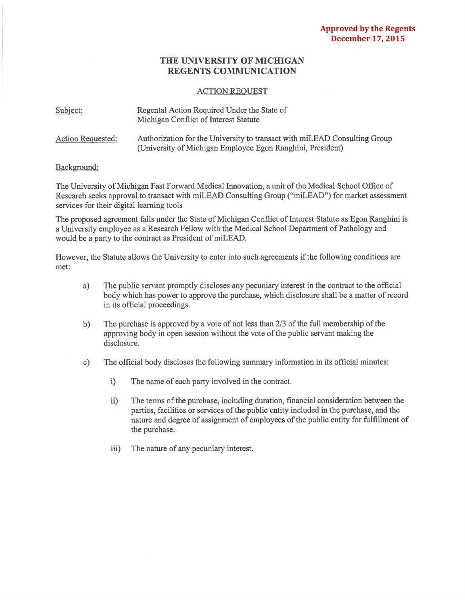## **THE UNIVERSITY OF MICHIGAN REGENTS COMMUNICATION**

## ACTION REQUEST

| Subject:          | Regental Action Required Under the State of<br>Michigan Conflict of Interest Statute                                                     |
|-------------------|------------------------------------------------------------------------------------------------------------------------------------------|
| Action Requested: | Authorization for the University to transact with mil.EAD Consulting Group<br>(University of Michigan Employee Egon Ranghini, President) |

## Background:

The University of Michigan Fast Forward Medical Innovation, a unit of the Medical School Office of Research seeks approval to transact with miLEAD Consulting Group ("miLEAD") for market assessment services for their digital learning tools

The proposed agreement falls under the State of Michigan Conflict of Interest Statute as Egon Ranghini is a University employee as a Research Fellow with the Medical School Department of Pathology and would be a party to the contract as President of miLEAD.

However, the Statute allows the University to enter into such agreements ifthe following conditions are met:

- a) The public servant promptly discloses any pecuniary interest in the contract to the official body which has power to approve the purchase, which disclosure shall be a matter of record in its official proceedings.
- b) The purchase is approved by a vote of not less than 2/3 of the full membership of the approving body in open session without the vote of the public servant making the disclosure.
- c) The official body discloses the following summary information in its official minutes:
	- i) The name of each party involved in the contract.
	- ii) The terms of the purchase, including duration, financial consideration between the parties, facilities or services of the public entity included in the purchase, and the nature and degree of assignment of employees of the public entity for fulfillment of the purchase.
	- iii) The nature of any pecuniary interest.